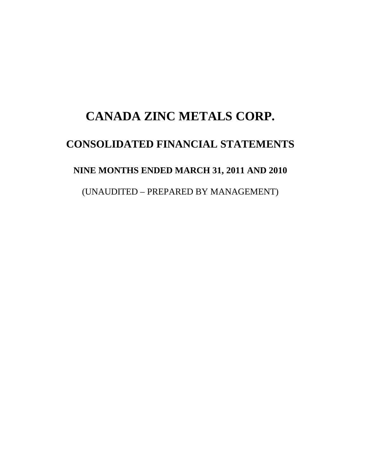# **CANADA ZINC METALS CORP. CONSOLIDATED FINANCIAL STATEMENTS NINE MONTHS ENDED MARCH 31, 2011 AND 2010**  (UNAUDITED – PREPARED BY MANAGEMENT)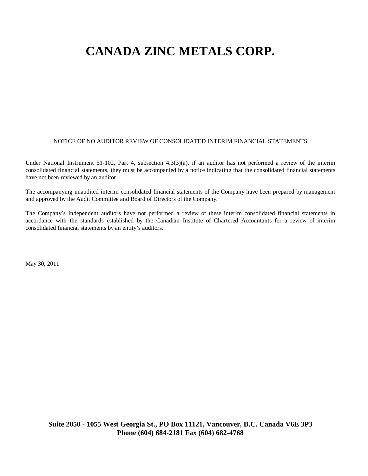#### NOTICE OF NO AUDITOR REVIEW OF CONSOLIDATED INTERIM FINANCIAL STATEMENTS

Under National Instrument 51-102, Part 4, subsection 4.3(3)(a), if an auditor has not performed a review of the interim consolidated financial statements, they must be accompanied by a notice indicating that the consolidated financial statements have not been reviewed by an auditor.

The accompanying unaudited interim consolidated financial statements of the Company have been prepared by management and approved by the Audit Committee and Board of Directors of the Company.

The Company's independent auditors have not performed a review of these interim consolidated financial statements in accordance with the standards established by the Canadian Institute of Chartered Accountants for a review of interim consolidated financial statements by an entity's auditors.

May 30, 2011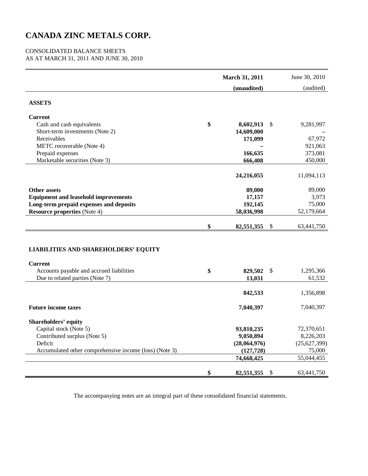#### CONSOLIDATED BALANCE SHEETS AS AT MARCH 31, 2011 AND JUNE 30, 2010

|                                                               | <b>March 31, 2011</b> | June 30, 2010    |
|---------------------------------------------------------------|-----------------------|------------------|
|                                                               | (unaudited)           | (audited)        |
| <b>ASSETS</b>                                                 |                       |                  |
| <b>Current</b>                                                |                       |                  |
| Cash and cash equivalents                                     | \$<br>8,602,913       | \$<br>9,281,997  |
| Short-term investments (Note 2)                               | 14,609,000            |                  |
| Receivables                                                   | 171,099               | 67,972           |
| METC recoverable (Note 4)                                     |                       | 921,063          |
| Prepaid expenses                                              | 166,635               | 373,081          |
| Marketable securities (Note 3)                                | 666,408               | 450,000          |
|                                                               | 24,216,055            | 11,094,113       |
| <b>Other assets</b>                                           | 89,000                | 89,000           |
| <b>Equipment and leasehold improvements</b>                   | 17,157                | 3,973            |
| Long-term prepaid expenses and deposits                       | 192,145               | 75,000           |
| <b>Resource properties</b> (Note 4)                           | 58,036,998            | 52,179,664       |
|                                                               | \$<br>82,551,355      | \$<br>63,441,750 |
| <b>LIABILITIES AND SHAREHOLDERS' EQUITY</b><br><b>Current</b> |                       |                  |
| Accounts payable and accrued liabilities                      | \$<br>829,502         | \$<br>1,295,366  |
| Due to related parties (Note 7)                               | 13,031                | 61,532           |
|                                                               | 842,533               | 1,356,898        |
| <b>Future income taxes</b>                                    | 7,040,397             | 7,040,397        |
| <b>Shareholders' equity</b>                                   |                       |                  |
| Capital stock (Note 5)                                        | 93,810,235            | 72,370,651       |
| Contributed surplus (Note 5)                                  | 9,050,894             | 8,226,203        |
| Deficit                                                       | (28,064,976)          | (25,627,399)     |
| Accumulated other comprehensive income (loss) (Note 3)        | (127, 728)            | 75,000           |
|                                                               | 74,668,425            | 55,044,455       |
|                                                               | \$<br>82,551,355      | \$<br>63,441,750 |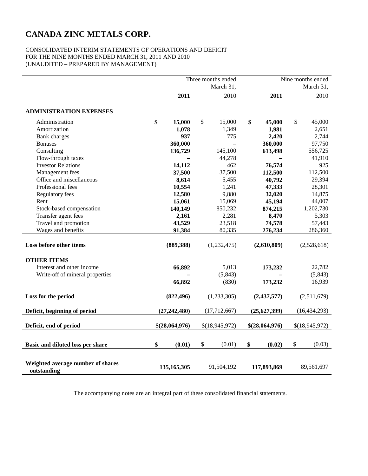#### CONSOLIDATED INTERIM STATEMENTS OF OPERATIONS AND DEFICIT FOR THE NINE MONTHS ENDED MARCH 31, 2011 AND 2010 (UNAUDITED – PREPARED BY MANAGEMENT)

|                                                  |                | Three months ended<br>March 31, |                | Nine months ended<br>March 31, |
|--------------------------------------------------|----------------|---------------------------------|----------------|--------------------------------|
|                                                  | 2011           | 2010                            | 2011           | 2010                           |
|                                                  |                |                                 |                |                                |
| <b>ADMINISTRATION EXPENSES</b>                   |                |                                 |                |                                |
| Administration                                   | \$<br>15,000   | \$<br>15,000                    | \$<br>45,000   | \$<br>45,000                   |
| Amortization                                     | 1,078          | 1,349                           | 1,981          | 2,651                          |
| Bank charges                                     | 937            | 775                             | 2,420          | 2,744                          |
| <b>Bonuses</b>                                   | 360,000        |                                 | 360,000        | 97,750                         |
| Consulting                                       | 136,729        | 145,100                         | 613,498        | 556,725                        |
| Flow-through taxes                               |                | 44,278                          |                | 41,910                         |
| <b>Investor Relations</b>                        | 14,112         | 462                             | 76,574         | 925                            |
| Management fees                                  | 37,500         | 37,500                          | 112,500        | 112,500                        |
| Office and miscellaneous                         | 8,614          | 5,455                           | 40,792         | 29,394                         |
| Professional fees                                | 10,554         | 1,241                           | 47,333         | 28,301                         |
| Regulatory fees                                  | 12,580         | 9,880                           | 32,020         | 14,875                         |
| Rent                                             | 15,061         | 15,069                          | 45,194         | 44,007                         |
| Stock-based compensation                         | 140,149        | 850,232                         | 874,215        | 1,202,730                      |
| Transfer agent fees                              | 2,161          | 2,281                           | 8,470          | 5,303                          |
| Travel and promotion                             | 43,529         | 23,518                          | 74,578         | 57,443                         |
| Wages and benefits                               | 91,384         | 80,335                          | 276,234        | 286,360                        |
| Loss before other items                          | (889, 388)     | (1,232,475)                     | (2,610,809)    | (2,528,618)                    |
| <b>OTHER ITEMS</b>                               |                |                                 |                |                                |
| Interest and other income                        | 66,892         | 5,013                           | 173,232        | 22,782                         |
| Write-off of mineral properties                  |                | (5, 843)                        |                | (5, 843)                       |
|                                                  | 66,892         | (830)                           | 173,232        | 16,939                         |
| Loss for the period                              | (822, 496)     | (1,233,305)                     | (2, 437, 577)  | (2,511,679)                    |
| Deficit, beginning of period                     | (27, 242, 480) | (17,712,667)                    | (25,627,399)   | (16, 434, 293)                 |
| Deficit, end of period                           | \$(28,064,976) | \$(18,945,972)                  | \$(28,064,976) | \$(18,945,972)                 |
| Basic and diluted loss per share                 | \$<br>(0.01)   | \$<br>(0.01)                    | \$<br>(0.02)   | \$<br>(0.03)                   |
|                                                  |                |                                 |                |                                |
| Weighted average number of shares<br>outstanding | 135, 165, 305  | 91,504,192                      | 117,893,869    | 89,561,697                     |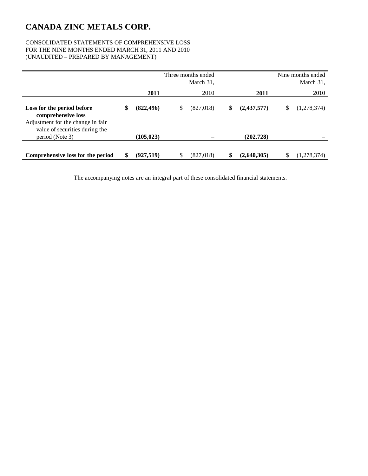#### CONSOLIDATED STATEMENTS OF COMPREHENSIVE LOSS FOR THE NINE MONTHS ENDED MARCH 31, 2011 AND 2010 (UNAUDITED – PREPARED BY MANAGEMENT)

|                                                                                                                         |    | Three months ended<br>March 31, |    |           |    |             |    | Nine months ended<br>March 31, |
|-------------------------------------------------------------------------------------------------------------------------|----|---------------------------------|----|-----------|----|-------------|----|--------------------------------|
|                                                                                                                         |    | 2011                            |    | 2010      |    | 2011        |    | 2010                           |
| Loss for the period before<br>comprehensive loss<br>Adjustment for the change in fair<br>value of securities during the | \$ | (822, 496)                      | S  | (827,018) | \$ | (2,437,577) | \$ | (1,278,374)                    |
| period (Note 3)                                                                                                         |    | (105, 023)                      |    |           |    | (202, 728)  |    |                                |
| Comprehensive loss for the period                                                                                       | S  | (927, 519)                      | \$ | (827,018) | \$ | (2,640,305) | \$ | (1,278,374)                    |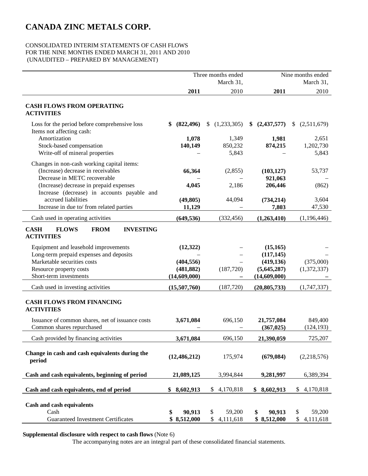#### CONSOLIDATED INTERIM STATEMENTS OF CASH FLOWS FOR THE NINE MONTHS ENDED MARCH 31, 2011 AND 2010 (UNAUDITED – PREPARED BY MANAGEMENT)

|                                                                                     | Three months ended          |                                 |                             | Nine months ended               |
|-------------------------------------------------------------------------------------|-----------------------------|---------------------------------|-----------------------------|---------------------------------|
|                                                                                     |                             | March 31,                       |                             | March 31,                       |
|                                                                                     | 2011                        | 2010                            | 2011                        | 2010                            |
| <b>CASH FLOWS FROM OPERATING</b><br><b>ACTIVITIES</b>                               |                             |                                 |                             |                                 |
| Loss for the period before comprehensive loss<br>Items not affecting cash:          | \$<br>(822, 496)            | (1,233,305)<br>S.               | (2, 437, 577)<br>S          | (2,511,679)<br>\$               |
| Amortization                                                                        | 1,078                       | 1,349                           | 1,981                       | 2,651                           |
| Stock-based compensation                                                            | 140,149                     | 850,232                         | 874,215                     | 1,202,730                       |
| Write-off of mineral properties                                                     |                             | 5,843                           |                             | 5,843                           |
| Changes in non-cash working capital items:                                          |                             |                                 |                             |                                 |
| (Increase) decrease in receivables                                                  | 66,364                      | (2,855)                         | (103, 127)                  | 53,737                          |
| Decrease in METC recoverable                                                        |                             |                                 | 921,063                     |                                 |
| (Increase) decrease in prepaid expenses                                             | 4,045                       | 2,186                           | 206,446                     | (862)                           |
| Increase (decrease) in accounts payable and<br>accrued liabilities                  |                             |                                 |                             |                                 |
| Increase in due to/ from related parties                                            | (49, 805)<br>11,129         | 44,094                          | (734, 214)<br>7,803         | 3,604<br>47,530                 |
|                                                                                     |                             |                                 |                             |                                 |
| Cash used in operating activities                                                   | (649, 536)                  | (332, 456)                      | (1,263,410)                 | (1,196,446)                     |
| <b>CASH</b><br><b>FLOWS</b><br><b>FROM</b><br><b>INVESTING</b><br><b>ACTIVITIES</b> |                             |                                 |                             |                                 |
| Equipment and leasehold improvements                                                | (12, 322)                   |                                 | (15, 165)                   |                                 |
| Long-term prepaid expenses and deposits                                             |                             |                                 | (117, 145)                  |                                 |
| Marketable securities costs                                                         | (404, 556)                  |                                 | (419, 136)                  | (375,000)                       |
| Resource property costs                                                             | (481, 882)                  | (187, 720)                      | (5,645,287)                 | (1,372,337)                     |
| Short-term investments                                                              | (14,609,000)                |                                 | (14,609,000)                |                                 |
| Cash used in investing activities                                                   | (15,507,760)                | (187, 720)                      | (20, 805, 733)              | (1,747,337)                     |
| <b>CASH FLOWS FROM FINANCING</b><br><b>ACTIVITIES</b>                               |                             |                                 |                             |                                 |
| Issuance of common shares, net of issuance costs                                    | 3,671,084                   | 696,150                         | 21,757,084                  | 849,400                         |
| Common shares repurchased                                                           |                             |                                 | (367, 025)                  | (124, 193)                      |
| Cash provided by financing activities                                               | 3,671,084                   | 696,150                         | 21,390,059                  | 725,207                         |
| Change in cash and cash equivalents during the<br>period                            | (12, 486, 212)              | 175,974                         | (679, 084)                  | (2,218,576)                     |
| Cash and cash equivalents, beginning of period                                      | 21,089,125                  | 3,994,844                       | 9,281,997                   | 6,389,394                       |
| Cash and cash equivalents, end of period                                            | \$<br>8,602,913             | 4,170,818<br>\$                 | \$<br>8,602,913             | \$<br>4,170,818                 |
|                                                                                     |                             |                                 |                             |                                 |
| Cash and cash equivalents                                                           |                             |                                 |                             |                                 |
| Cash<br><b>Guaranteed Investment Certificates</b>                                   | \$<br>90,913<br>\$8,512,000 | \$<br>59,200<br>\$<br>4,111,618 | 90,913<br>\$<br>\$8,512,000 | 59,200<br>\$<br>\$<br>4,111,618 |
|                                                                                     |                             |                                 |                             |                                 |

**Supplemental disclosure with respect to cash flows** (Note 6)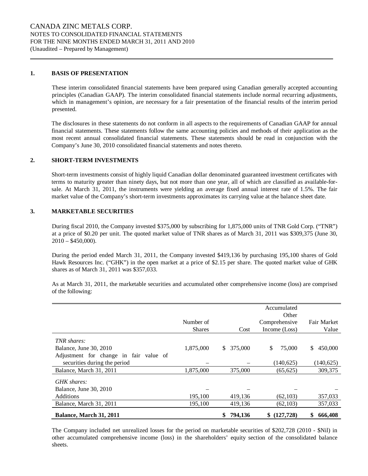#### **1. BASIS OF PRESENTATION**

These interim consolidated financial statements have been prepared using Canadian generally accepted accounting principles (Canadian GAAP). The interim consolidated financial statements include normal recurring adjustments, which in management's opinion, are necessary for a fair presentation of the financial results of the interim period presented.

The disclosures in these statements do not conform in all aspects to the requirements of Canadian GAAP for annual financial statements. These statements follow the same accounting policies and methods of their application as the most recent annual consolidated financial statements. These statements should be read in conjunction with the Company's June 30, 2010 consolidated financial statements and notes thereto.

#### **2. SHORT-TERM INVESTMENTS**

Short-term investments consist of highly liquid Canadian dollar denominated guaranteed investment certificates with terms to maturity greater than ninety days, but not more than one year, all of which are classified as available-forsale. At March 31, 2011, the instruments were yielding an average fixed annual interest rate of 1.5%. The fair market value of the Company's short-term investments approximates its carrying value at the balance sheet date.

#### **3. MARKETABLE SECURITIES**

During fiscal 2010, the Company invested \$375,000 by subscribing for 1,875,000 units of TNR Gold Corp. ("TNR") at a price of \$0.20 per unit. The quoted market value of TNR shares as of March 31, 2011 was \$309,375 (June 30,  $2010 - $450,000$ .

During the period ended March 31, 2011, the Company invested \$419,136 by purchasing 195,100 shares of Gold Hawk Resources Inc. ("GHK") in the open market at a price of \$2.15 per share. The quoted market value of GHK shares as of March 31, 2011 was \$357,033.

As at March 31, 2011, the marketable securities and accumulated other comprehensive income (loss) are comprised of the following:

|                                        |               |               | Accumulated<br>Other |               |
|----------------------------------------|---------------|---------------|----------------------|---------------|
|                                        | Number of     |               | Comprehensive        | Fair Market   |
|                                        | <b>Shares</b> | Cost          | Income (Loss)        | Value         |
| TNR shares:                            |               |               |                      |               |
| Balance, June 30, 2010                 | 1,875,000     | 375,000<br>S. | \$<br>75,000         | 450,000<br>\$ |
| Adjustment for change in fair value of |               |               |                      |               |
| securities during the period           |               |               | (140, 625)           | (140, 625)    |
| Balance, March 31, 2011                | 1,875,000     | 375,000       | (65, 625)            | 309,375       |
| GHK shares:                            |               |               |                      |               |
| Balance, June 30, 2010                 |               |               |                      |               |
| <b>Additions</b>                       | 195,100       | 419,136       | (62, 103)            | 357,033       |
| Balance, March 31, 2011                | 195,100       | 419,136       | (62, 103)            | 357,033       |
| Balance, March 31, 2011                |               | 794,136<br>\$ | (127, 728)<br>S.     | 666,408<br>\$ |

The Company included net unrealized losses for the period on marketable securities of \$202,728 (2010 - \$Nil) in other accumulated comprehensive income (loss) in the shareholders' equity section of the consolidated balance sheets.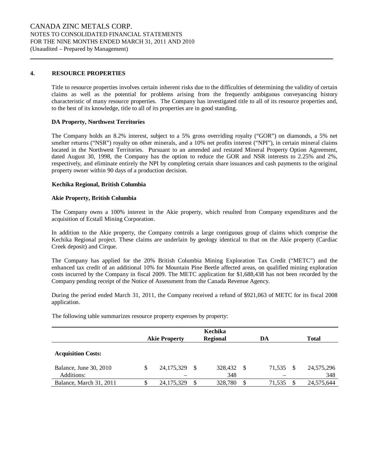#### **4. RESOURCE PROPERTIES**

Title to resource properties involves certain inherent risks due to the difficulties of determining the validity of certain claims as well as the potential for problems arising from the frequently ambiguous conveyancing history characteristic of many resource properties. The Company has investigated title to all of its resource properties and, to the best of its knowledge, title to all of its properties are in good standing.

#### **DA Property, Northwest Territories**

The Company holds an 8.2% interest, subject to a 5% gross overriding royalty ("GOR") on diamonds, a 5% net smelter returns ("NSR") royalty on other minerals, and a 10% net profits interest ("NPI"), in certain mineral claims located in the Northwest Territories. Pursuant to an amended and restated Mineral Property Option Agreement, dated August 30, 1998, the Company has the option to reduce the GOR and NSR interests to 2.25% and 2%, respectively, and eliminate entirely the NPI by completing certain share issuances and cash payments to the original property owner within 90 days of a production decision.

#### **Kechika Regional, British Columbia**

#### **Akie Property, British Columbia**

The Company owns a 100% interest in the Akie property, which resulted from Company expenditures and the acquisition of Ecstall Mining Corporation.

In addition to the Akie property, the Company controls a large contiguous group of claims which comprise the Kechika Regional project. These claims are underlain by geology identical to that on the Akie property (Cardiac Creek deposit) and Cirque.

The Company has applied for the 20% British Columbia Mining Exploration Tax Credit ("METC") and the enhanced tax credit of an additional 10% for Mountain Pine Beetle affected areas, on qualified mining exploration costs incurred by the Company in fiscal 2009. The METC application for \$1,688,438 has not been recorded by the Company pending receipt of the Notice of Assessment from the Canada Revenue Agency.

During the period ended March 31, 2011, the Company received a refund of \$921,063 of METC for its fiscal 2008 application.

The following table summarizes resource property expenses by property:

|                                      | <b>Akie Property</b> |    | Kechika<br><b>Regional</b> | DA           |          | <b>Total</b>      |
|--------------------------------------|----------------------|----|----------------------------|--------------|----------|-------------------|
| <b>Acquisition Costs:</b>            |                      |    |                            |              |          |                   |
| Balance, June 30, 2010<br>Additions: | \$<br>24, 175, 329   | -S | 328,432 \$<br>348          | 71,535       | <b>S</b> | 24,575,296<br>348 |
| Balance, March 31, 2011              | 24, 175, 329         | \$ | 328,780                    | \$<br>71,535 |          | 24,575,644        |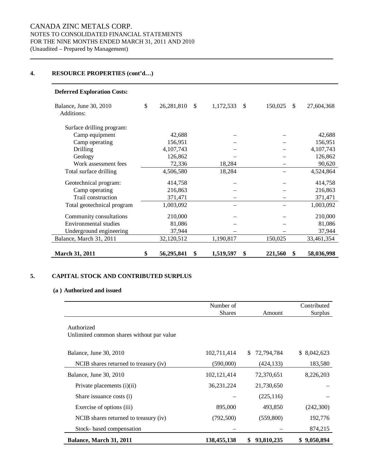#### **4. RESOURCE PROPERTIES (cont'd…)**

| <b>Deferred Exploration Costs:</b>   |                  |               |           |               |         |               |            |
|--------------------------------------|------------------|---------------|-----------|---------------|---------|---------------|------------|
| Balance, June 30, 2010<br>Additions: | \$<br>26,281,810 | <sup>\$</sup> | 1,172,533 | <sup>\$</sup> | 150,025 | <sup>\$</sup> | 27,604,368 |
| Surface drilling program:            |                  |               |           |               |         |               |            |
| Camp equipment                       | 42,688           |               |           |               |         |               | 42,688     |
| Camp operating                       | 156,951          |               |           |               |         |               | 156,951    |
| Drilling                             | 4,107,743        |               |           |               |         |               | 4,107,743  |
| Geology                              | 126,862          |               |           |               |         |               | 126,862    |
| Work assessment fees                 | 72,336           |               | 18,284    |               |         |               | 90,620     |
| Total surface drilling               | 4,506,580        |               | 18,284    |               |         |               | 4,524,864  |
| Geotechnical program:                | 414,758          |               |           |               |         |               | 414,758    |
| Camp operating                       | 216,863          |               |           |               |         |               | 216,863    |
| Trail construction                   | 371,471          |               |           |               |         |               | 371,471    |
| Total geotechnical program           | 1,003,092        |               |           |               |         |               | 1,003,092  |
| Community consultations              | 210,000          |               |           |               |         |               | 210,000    |
| Environmental studies                | 81,086           |               |           |               |         |               | 81,086     |
| Underground engineering              | 37,944           |               |           |               |         |               | 37,944     |
| Balance, March 31, 2011              | 32,120,512       |               | 1,190,817 |               | 150,025 |               | 33,461,354 |
| <b>March 31, 2011</b>                | \$<br>56,295,841 | \$            | 1,519,597 | \$            | 221,560 | \$            | 58,036,998 |

#### **5. CAPITAL STOCK AND CONTRIBUTED SURPLUS**

#### **(a ) Authorized and issued**

|                                                         | Number of     |                   | Contributed |
|---------------------------------------------------------|---------------|-------------------|-------------|
|                                                         | <b>Shares</b> | Amount            | Surplus     |
| Authorized<br>Unlimited common shares without par value |               |                   |             |
| Balance, June 30, 2010                                  | 102,711,414   | 72,794,784<br>\$. | \$8,042,623 |
| NCIB shares returned to treasury (iv)                   | (590,000)     | (424, 133)        | 183,580     |
| Balance, June 30, 2010                                  | 102, 121, 414 | 72,370,651        | 8,226,203   |
| Private placements (i)(ii)                              | 36, 231, 224  | 21,730,650        |             |
| Share issuance costs (i)                                |               | (225, 116)        |             |
| Exercise of options (iii)                               | 895,000       | 493,850           | (242,300)   |
| NCIB shares returned to treasury (iv)                   | (792, 500)    | (559,800)         | 192,776     |
| Stock- based compensation                               |               |                   | 874,215     |
| Balance, March 31, 2011                                 | 138,455,138   | 93,810,235<br>S.  | \$9,050,894 |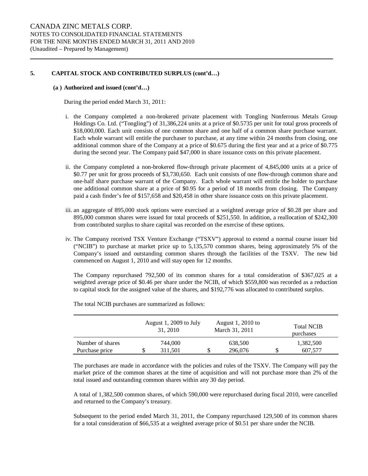#### **5. CAPITAL STOCK AND CONTRIBUTED SURPLUS (cont'd…)**

#### **(a ) Authorized and issued (cont'd…)**

During the period ended March 31, 2011:

- i. the Company completed a non-brokered private placement with Tongling Nonferrous Metals Group Holdings Co. Ltd. ("Tongling") of 31,386,224 units at a price of \$0.5735 per unit for total gross proceeds of \$18,000,000. Each unit consists of one common share and one half of a common share purchase warrant. Each whole warrant will entitle the purchaser to purchase, at any time within 24 months from closing, one additional common share of the Company at a price of \$0.675 during the first year and at a price of \$0.775 during the second year. The Company paid \$47,000 in share issuance costs on this private placement.
- ii. the Company completed a non-brokered flow-through private placement of 4,845,000 units at a price of \$0.77 per unit for gross proceeds of \$3,730,650. Each unit consists of one flow-through common share and one-half share purchase warrant of the Company. Each whole warrant will entitle the holder to purchase one additional common share at a price of \$0.95 for a period of 18 months from closing. The Company paid a cash finder's fee of \$157,658 and \$20,458 in other share issuance costs on this private placement.
- iii. an aggregate of 895,000 stock options were exercised at a weighted average price of \$0.28 per share and 895,000 common shares were issued for total proceeds of \$251,550. In addition, a reallocation of \$242,300 from contributed surplus to share capital was recorded on the exercise of these options.
- iv. The Company received TSX Venture Exchange ("TSXV") approval to extend a normal course issuer bid ("NCIB") to purchase at market price up to 5,135,570 common shares, being approximately 5% of the Company's issued and outstanding common shares through the facilities of the TSXV. The new bid commenced on August 1, 2010 and will stay open for 12 months.

The Company repurchased 792,500 of its common shares for a total consideration of \$367,025 at a weighted average price of \$0.46 per share under the NCIB, of which \$559,800 was recorded as a reduction to capital stock for the assigned value of the shares, and \$192,776 was allocated to contributed surplus.

|                  |   | August 1, 2009 to July<br>31, 2010 |   | August 1, 2010 to<br>March 31, 2011 | <b>Total NCIB</b><br>purchases |
|------------------|---|------------------------------------|---|-------------------------------------|--------------------------------|
| Number of shares |   | 744,000                            |   | 638,500                             | 1,382,500                      |
| Purchase price   | S | 311.501                            | Φ | 296,076                             | 607.577                        |

The total NCIB purchases are summarized as follows:

The purchases are made in accordance with the policies and rules of the TSXV. The Company will pay the market price of the common shares at the time of acquisition and will not purchase more than 2% of the total issued and outstanding common shares within any 30 day period.

A total of 1,382,500 common shares, of which 590,000 were repurchased during fiscal 2010, were cancelled and returned to the Company's treasury.

Subsequent to the period ended March 31, 2011, the Company repurchased 129,500 of its common shares for a total consideration of \$66,535 at a weighted average price of \$0.51 per share under the NCIB.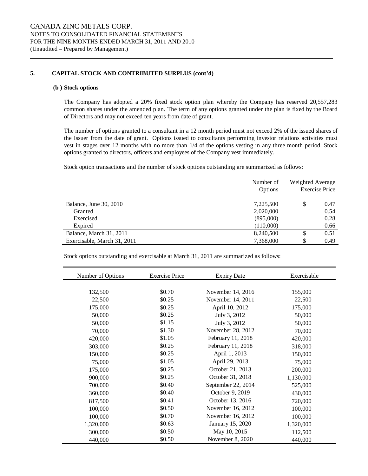#### **5. CAPITAL STOCK AND CONTRIBUTED SURPLUS (cont'd)**

#### **(b ) Stock options**

The Company has adopted a 20% fixed stock option plan whereby the Company has reserved 20,557,283 common shares under the amended plan. The term of any options granted under the plan is fixed by the Board of Directors and may not exceed ten years from date of grant.

The number of options granted to a consultant in a 12 month period must not exceed 2% of the issued shares of the Issuer from the date of grant. Options issued to consultants performing investor relations activities must vest in stages over 12 months with no more than 1/4 of the options vesting in any three month period. Stock options granted to directors, officers and employees of the Company vest immediately.

Stock option transactions and the number of stock options outstanding are summarized as follows:

|                             | Number of<br>Options | Weighted Average | <b>Exercise Price</b> |
|-----------------------------|----------------------|------------------|-----------------------|
| Balance, June 30, 2010      | 7,225,500            | \$               | 0.47                  |
| Granted                     | 2,020,000            |                  | 0.54                  |
| Exercised                   | (895,000)            |                  | 0.28                  |
| Expired                     | (110,000)            |                  | 0.66                  |
| Balance, March 31, 2011     | 8,240,500            |                  | 0.51                  |
| Exercisable, March 31, 2011 | 7,368,000            |                  | 0.49                  |

Stock options outstanding and exercisable at March 31, 2011 are summarized as follows:

| Number of Options | <b>Exercise Price</b> | <b>Expiry Date</b> | Exercisable |
|-------------------|-----------------------|--------------------|-------------|
|                   |                       |                    |             |
| 132,500           | \$0.70                | November 14, 2016  | 155,000     |
| 22,500            | \$0.25                | November 14, 2011  | 22,500      |
| 175,000           | \$0.25                | April 10, 2012     | 175,000     |
| 50,000            | \$0.25                | July 3, 2012       | 50,000      |
| 50,000            | \$1.15                | July 3, 2012       | 50,000      |
| 70,000            | \$1.30                | November 28, 2012  | 70,000      |
| 420,000           | \$1.05                | February 11, 2018  | 420,000     |
| 303,000           | \$0.25                | February 11, 2018  | 318,000     |
| 150,000           | \$0.25                | April 1, 2013      | 150,000     |
| 75,000            | \$1.05                | April 29, 2013     | 75,000      |
| 175,000           | \$0.25                | October 21, 2013   | 200,000     |
| 900,000           | \$0.25                | October 31, 2018   | 1,130,000   |
| 700,000           | \$0.40                | September 22, 2014 | 525,000     |
| 360,000           | \$0.40                | October 9, 2019    | 430,000     |
| 817,500           | \$0.41                | October 13, 2016   | 720,000     |
| 100,000           | \$0.50                | November 16, 2012  | 100,000     |
| 100,000           | \$0.70                | November 16, 2012  | 100,000     |
| 1,320,000         | \$0.63                | January 15, 2020   | 1,320,000   |
| 300,000           | \$0.50                | May 10, 2015       | 112,500     |
| 440,000           | \$0.50                | November 8, 2020   | 440,000     |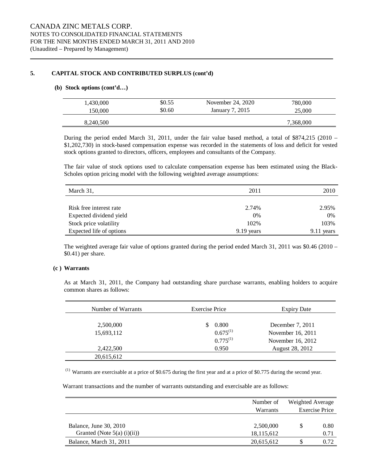#### **5. CAPITAL STOCK AND CONTRIBUTED SURPLUS (cont'd)**

#### **(b) Stock options (cont'd…)**

| 1,430,000 | \$0.55 | November 24, 2020 | 780,000   |
|-----------|--------|-------------------|-----------|
| 150.000   | \$0.60 | January 7, 2015   | 25,000    |
| 8.240.500 |        |                   | 7,368,000 |

During the period ended March 31, 2011, under the fair value based method, a total of \$874,215 (2010 – \$1,202,730) in stock-based compensation expense was recorded in the statements of loss and deficit for vested stock options granted to directors, officers, employees and consultants of the Company.

The fair value of stock options used to calculate compensation expense has been estimated using the Black-Scholes option pricing model with the following weighted average assumptions:

| March 31,                | 2011         | 2010          |
|--------------------------|--------------|---------------|
|                          |              |               |
| Risk free interest rate  | 2.74%        | 2.95%         |
| Expected dividend yield  | 0%           | 0%            |
| Stock price volatility   | 102%         | 103%          |
| Expected life of options | $9.19$ years | 9.11<br>years |

The weighted average fair value of options granted during the period ended March 31, 2011 was \$0.46 (2010 – \$0.41) per share.

#### **(c ) Warrants**

As at March 31, 2011, the Company had outstanding share purchase warrants, enabling holders to acquire common shares as follows:

| Number of Warrants | <b>Exercise Price</b> | <b>Expiry Date</b> |  |
|--------------------|-----------------------|--------------------|--|
|                    |                       |                    |  |
| 2,500,000          | 0.800<br>S            | December 7, 2011   |  |
| 15,693,112         | $0.675^{(1)}$         | November 16, 2011  |  |
|                    | $0.775^{(1)}$         | November 16, 2012  |  |
| 2,422,500          | 0.950                 | August 28, 2012    |  |
| 20,615,612         |                       |                    |  |

 $^{(1)}$  Warrants are exercisable at a price of \$0.675 during the first year and at a price of \$0.775 during the second year.

Warrant transactions and the number of warrants outstanding and exercisable are as follows:

|                               | Number of    | Weighted Average<br><b>Exercise Price</b> |      |
|-------------------------------|--------------|-------------------------------------------|------|
|                               | Warrants     |                                           |      |
|                               |              |                                           |      |
| Balance, June 30, 2010        | 2,500,000    |                                           | 0.80 |
| Granted (Note $5(a)$ (i)(ii)) | 18, 115, 612 |                                           | 0.71 |
| Balance, March 31, 2011       | 20,615,612   |                                           | 0.72 |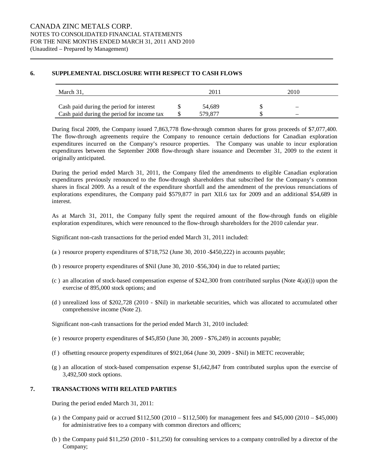#### **6. SUPPLEMENTAL DISCLOSURE WITH RESPECT TO CASH FLOWS**

| March 31.                                  | 201     | 2010                     |  |
|--------------------------------------------|---------|--------------------------|--|
| Cash paid during the period for interest   | 54.689  | $\overline{\phantom{0}}$ |  |
| Cash paid during the period for income tax | 579 877 | -                        |  |

During fiscal 2009, the Company issued 7,863,778 flow-through common shares for gross proceeds of \$7,077,400. The flow-through agreements require the Company to renounce certain deductions for Canadian exploration expenditures incurred on the Company's resource properties. The Company was unable to incur exploration expenditures between the September 2008 flow-through share issuance and December 31, 2009 to the extent it originally anticipated.

During the period ended March 31, 2011, the Company filed the amendments to eligible Canadian exploration expenditures previously renounced to the flow-through shareholders that subscribed for the Company's common shares in fiscal 2009. As a result of the expenditure shortfall and the amendment of the previous renunciations of explorations expenditures, the Company paid \$579,877 in part XII.6 tax for 2009 and an additional \$54,689 in interest.

As at March 31, 2011, the Company fully spent the required amount of the flow-through funds on eligible exploration expenditures, which were renounced to the flow-through shareholders for the 2010 calendar year.

Significant non-cash transactions for the period ended March 31, 2011 included:

- (a ) resource property expenditures of \$718,752 (June 30, 2010 -\$450,222) in accounts payable;
- (b ) resource property expenditures of \$Nil (June 30, 2010 -\$56,304) in due to related parties;
- (c) an allocation of stock-based compensation expense of  $$242,300$  from contributed surplus (Note  $4(a)(i)$ ) upon the exercise of 895,000 stock options; and
- (d ) unrealized loss of \$202,728 (2010 \$Nil) in marketable securities, which was allocated to accumulated other comprehensive income (Note 2).

Significant non-cash transactions for the period ended March 31, 2010 included:

- (e ) resource property expenditures of \$45,850 (June 30, 2009 \$76,249) in accounts payable;
- (f ) offsetting resource property expenditures of \$921,064 (June 30, 2009 \$Nil) in METC recoverable;
- (g ) an allocation of stock-based compensation expense \$1,642,847 from contributed surplus upon the exercise of 3,492,500 stock options.

#### **7. TRANSACTIONS WITH RELATED PARTIES**

During the period ended March 31, 2011:

- (a ) the Company paid or accrued \$112,500 (2010 \$112,500) for management fees and \$45,000 (2010 \$45,000) for administrative fees to a company with common directors and officers;
- (b ) the Company paid \$11,250 (2010 \$11,250) for consulting services to a company controlled by a director of the Company;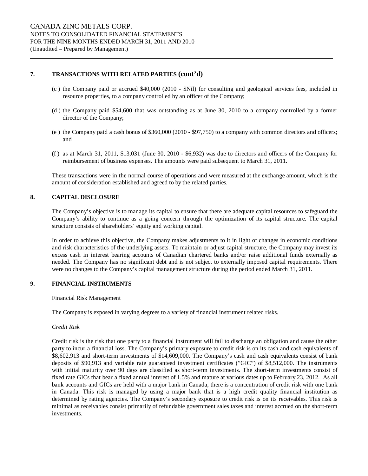#### **7. TRANSACTIONS WITH RELATED PARTIES (cont'd)**

- (c ) the Company paid or accrued \$40,000 (2010 \$Nil) for consulting and geological services fees, included in resource properties, to a company controlled by an officer of the Company;
- (d ) the Company paid \$54,600 that was outstanding as at June 30, 2010 to a company controlled by a former director of the Company;
- (e ) the Company paid a cash bonus of \$360,000 (2010 \$97,750) to a company with common directors and officers; and
- (f ) as at March 31, 2011, \$13,031 (June 30, 2010 \$6,932) was due to directors and officers of the Company for reimbursement of business expenses. The amounts were paid subsequent to March 31, 2011.

These transactions were in the normal course of operations and were measured at the exchange amount, which is the amount of consideration established and agreed to by the related parties.

#### **8. CAPITAL DISCLOSURE**

The Company's objective is to manage its capital to ensure that there are adequate capital resources to safeguard the Company's ability to continue as a going concern through the optimization of its capital structure. The capital structure consists of shareholders' equity and working capital.

In order to achieve this objective, the Company makes adjustments to it in light of changes in economic conditions and risk characteristics of the underlying assets. To maintain or adjust capital structure, the Company may invest its excess cash in interest bearing accounts of Canadian chartered banks and/or raise additional funds externally as needed. The Company has no significant debt and is not subject to externally imposed capital requirements. There were no changes to the Company's capital management structure during the period ended March 31, 2011.

#### **9. FINANCIAL INSTRUMENTS**

Financial Risk Management

The Company is exposed in varying degrees to a variety of financial instrument related risks.

#### *Credit Risk*

Credit risk is the risk that one party to a financial instrument will fail to discharge an obligation and cause the other party to incur a financial loss. The Company's primary exposure to credit risk is on its cash and cash equivalents of \$8,602,913 and short-term investments of \$14,609,000. The Company's cash and cash equivalents consist of bank deposits of \$90,913 and variable rate guaranteed investment certificates ("GIC") of \$8,512,000. The instruments with initial maturity over 90 days are classified as short-term investments. The short-term investments consist of fixed rate GICs that bear a fixed annual interest of 1.5% and mature at various dates up to February 23, 2012. As all bank accounts and GICs are held with a major bank in Canada, there is a concentration of credit risk with one bank in Canada. This risk is managed by using a major bank that is a high credit quality financial institution as determined by rating agencies. The Company's secondary exposure to credit risk is on its receivables. This risk is minimal as receivables consist primarily of refundable government sales taxes and interest accrued on the short-term investments.